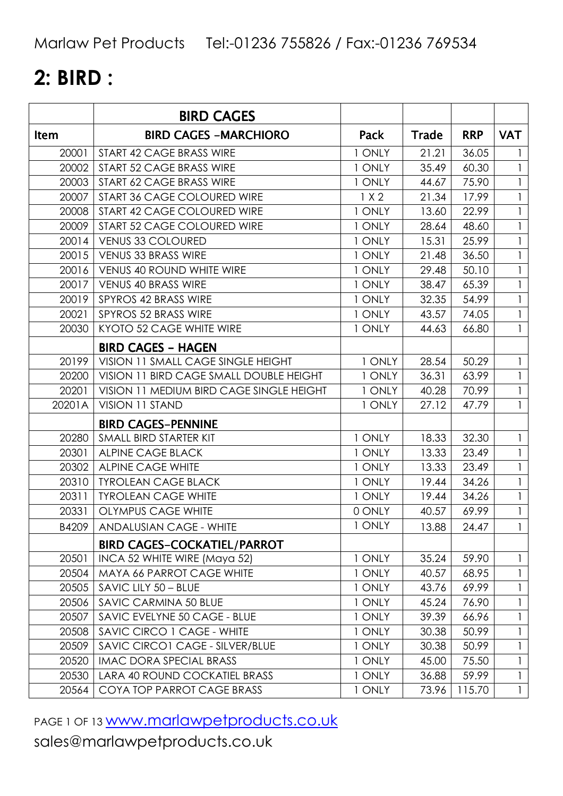# **2: BIRD :**

|             | <b>BIRD CAGES</b>                        |        |              |            |              |
|-------------|------------------------------------------|--------|--------------|------------|--------------|
| <b>Item</b> | <b>BIRD CAGES -MARCHIORO</b>             | Pack   | <b>Trade</b> | <b>RRP</b> | <b>VAT</b>   |
| 20001       | START 42 CAGE BRASS WIRE                 | 1 ONLY | 21.21        | 36.05      |              |
| 20002       | START 52 CAGE BRASS WIRE                 | 1 ONLY | 35.49        | 60.30      | $\mathbf{1}$ |
| 20003       | START 62 CAGE BRASS WIRE                 | 1 ONLY | 44.67        | 75.90      |              |
| 20007       | START 36 CAGE COLOURED WIRE              | 1 X 2  | 21.34        | 17.99      |              |
| 20008       | START 42 CAGE COLOURED WIRE              | 1 ONLY | 13.60        | 22.99      |              |
| 20009       | START 52 CAGE COLOURED WIRE              | 1 ONLY | 28.64        | 48.60      | $\mathbf{1}$ |
| 20014       | <b>VENUS 33 COLOURED</b>                 | 1 ONLY | 15.31        | 25.99      |              |
| 20015       | VENUS 33 BRASS WIRE                      | 1 ONLY | 21.48        | 36.50      | $\mathbf{1}$ |
| 20016       | <b>VENUS 40 ROUND WHITE WIRE</b>         | 1 ONLY | 29.48        | 50.10      | $\mathbf{1}$ |
| 20017       | VENUS 40 BRASS WIRE                      | 1 ONLY | 38.47        | 65.39      |              |
| 20019       | SPYROS 42 BRASS WIRE                     | 1 ONLY | 32.35        | 54.99      | $\mathbf{1}$ |
| 20021       | SPYROS 52 BRASS WIRE                     | 1 ONLY | 43.57        | 74.05      |              |
| 20030       | KYOTO 52 CAGE WHITE WIRE                 | 1 ONLY | 44.63        | 66.80      |              |
|             | <b>BIRD CAGES - HAGEN</b>                |        |              |            |              |
| 20199       | VISION 11 SMALL CAGE SINGLE HEIGHT       | 1 ONLY | 28.54        | 50.29      | $\mathbf{1}$ |
| 20200       | VISION 11 BIRD CAGE SMALL DOUBLE HEIGHT  | 1 ONLY | 36.31        | 63.99      |              |
| 20201       | VISION 11 MEDIUM BIRD CAGE SINGLE HEIGHT | 1 ONLY | 40.28        | 70.99      |              |
| 20201A      | <b>VISION 11 STAND</b>                   | 1 ONLY | 27.12        | 47.79      | 1            |
|             | <b>BIRD CAGES-PENNINE</b>                |        |              |            |              |
| 20280       | SMALL BIRD STARTER KIT                   | 1 ONLY | 18.33        | 32.30      |              |
| 20301       | <b>ALPINE CAGE BLACK</b>                 | 1 ONLY | 13.33        | 23.49      | $\mathbf{1}$ |
| 20302       | <b>ALPINE CAGE WHITE</b>                 | 1 ONLY | 13.33        | 23.49      |              |
| 20310       | <b>TYROLEAN CAGE BLACK</b>               | 1 ONLY | 19.44        | 34.26      | $\mathbf{1}$ |
| 20311       | <b>TYROLEAN CAGE WHITE</b>               | 1 ONLY | 19.44        | 34.26      | $\mathbf{1}$ |
| 20331       | <b>OLYMPUS CAGE WHITE</b>                | 0 ONLY | 40.57        | 69.99      |              |
| B4209       | ANDALUSIAN CAGE - WHITE                  | 1 ONLY | 13.88        | 24.47      | $\mathbf{1}$ |
|             | <b>BIRD CAGES-COCKATIEL/PARROT</b>       |        |              |            |              |
| 20501       | INCA 52 WHITE WIRE (Maya 52)             | 1 ONLY | 35.24        | 59.90      | 1            |
| 20504       | <b>MAYA 66 PARROT CAGE WHITE</b>         | 1 ONLY | 40.57        | 68.95      | 1            |
| 20505       | SAVIC LILY 50 - BLUE                     | 1 ONLY | 43.76        | 69.99      |              |
| 20506       | SAVIC CARMINA 50 BLUE                    | 1 ONLY | 45.24        | 76.90      |              |
| 20507       | SAVIC EVELYNE 50 CAGE - BLUE             | 1 ONLY | 39.39        | 66.96      | $\mathbf{1}$ |
| 20508       | SAVIC CIRCO 1 CAGE - WHITE               | 1 ONLY | 30.38        | 50.99      |              |
| 20509       | SAVIC CIRCO1 CAGE - SILVER/BLUE          | 1 ONLY | 30.38        | 50.99      | 1            |
| 20520       | <b>IMAC DORA SPECIAL BRASS</b>           | 1 ONLY | 45.00        | 75.50      | 1            |
| 20530       | LARA 40 ROUND COCKATIEL BRASS            | 1 ONLY | 36.88        | 59.99      |              |
| 20564       | COYA TOP PARROT CAGE BRASS               | 1 ONLY | 73.96        | 115.70     | $\mathbf{1}$ |

PAGE 1 OF 13 WWW.marlawpetproducts.co.uk sales@marlawpetproducts.co.uk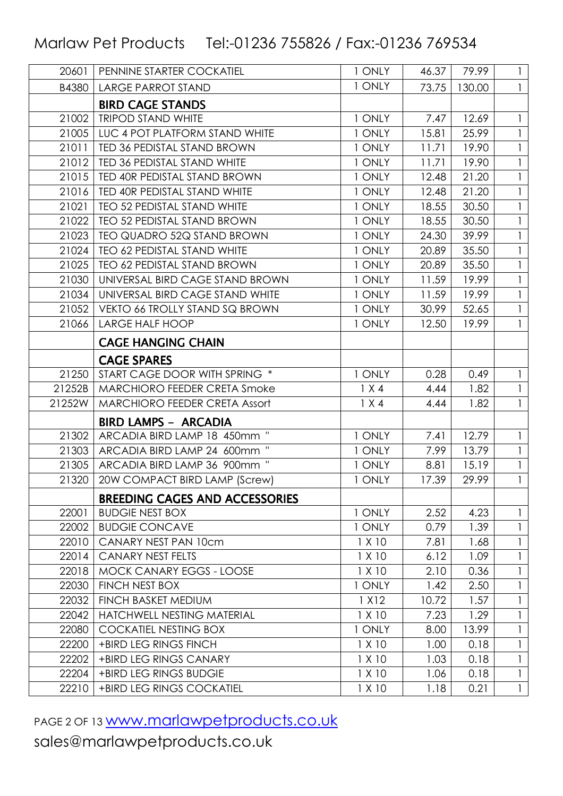| 20601  | PENNINE STARTER COCKATIEL             | 1 ONLY  | 46.37 | 79.99  | $\mathbf{1}$ |
|--------|---------------------------------------|---------|-------|--------|--------------|
| B4380  | <b>LARGE PARROT STAND</b>             | 1 ONLY  | 73.75 | 130.00 | $\mathbf{1}$ |
|        | <b>BIRD CAGE STANDS</b>               |         |       |        |              |
| 21002  | <b>TRIPOD STAND WHITE</b>             | 1 ONLY  | 7.47  | 12.69  | $\mathbf{1}$ |
| 21005  | LUC 4 POT PLATFORM STAND WHITE        | 1 ONLY  | 15.81 | 25.99  | 1            |
| 21011  | TED 36 PEDISTAL STAND BROWN           | 1 ONLY  | 11.71 | 19.90  |              |
| 21012  | TED 36 PEDISTAL STAND WHITE           | 1 ONLY  | 11.71 | 19.90  | 1            |
| 21015  | TED 40R PEDISTAL STAND BROWN          | 1 ONLY  | 12.48 | 21.20  | 1            |
| 21016  | TED 40R PEDISTAL STAND WHITE          | 1 ONLY  | 12.48 | 21.20  |              |
| 21021  | TEO 52 PEDISTAL STAND WHITE           | 1 ONLY  | 18.55 | 30.50  | $\mathbf{1}$ |
| 21022  | <b>TEO 52 PEDISTAL STAND BROWN</b>    | 1 ONLY  | 18.55 | 30.50  |              |
| 21023  | TEO QUADRO 52Q STAND BROWN            | 1 ONLY  | 24.30 | 39.99  | $\mathbf{I}$ |
| 21024  | TEO 62 PEDISTAL STAND WHITE           | 1 ONLY  | 20.89 | 35.50  | $\mathbf{1}$ |
| 21025  | <b>TEO 62 PEDISTAL STAND BROWN</b>    | 1 ONLY  | 20.89 | 35.50  |              |
| 21030  | UNIVERSAL BIRD CAGE STAND BROWN       | 1 ONLY  | 11.59 | 19.99  | $\mathbf{1}$ |
| 21034  | UNIVERSAL BIRD CAGE STAND WHITE       | 1 ONLY  | 11.59 | 19.99  |              |
| 21052  | VEKTO 66 TROLLY STAND SQ BROWN        | 1 ONLY  | 30.99 | 52.65  | $\mathbf{1}$ |
| 21066  | <b>LARGE HALF HOOP</b>                | 1 ONLY  | 12.50 | 19.99  | 1            |
|        | <b>CAGE HANGING CHAIN</b>             |         |       |        |              |
|        | <b>CAGE SPARES</b>                    |         |       |        |              |
| 21250  | START CAGE DOOR WITH SPRING *         | 1 ONLY  | 0.28  | 0.49   |              |
| 21252B | MARCHIORO FEEDER CRETA Smoke          | 1 X 4   | 4.44  | 1.82   | $\mathbf{1}$ |
| 21252W | MARCHIORO FEEDER CRETA Assort         | 1 X 4   | 4.44  | 1.82   | $\mathbf{1}$ |
|        | <b>BIRD LAMPS - ARCADIA</b>           |         |       |        |              |
| 21302  | ARCADIA BIRD LAMP 18 450mm "          | 1 ONLY  | 7.41  | 12.79  |              |
| 21303  | ARCADIA BIRD LAMP 24 600mm "          | 1 ONLY  | 7.99  | 13.79  | 1            |
| 21305  | ARCADIA BIRD LAMP 36 900mm "          | 1 ONLY  | 8.81  | 15.19  |              |
| 21320  | 20W COMPACT BIRD LAMP (Screw)         | 1 ONLY  | 17.39 | 29.99  |              |
|        | <b>BREEDING CAGES AND ACCESSORIES</b> |         |       |        |              |
| 22001  | <b>BUDGIE NEST BOX</b>                | 1 ONLY  | 2.52  | 4.23   | 1            |
| 22002  | <b>BUDGIE CONCAVE</b>                 | 1 ONLY  | 0.79  | 1.39   |              |
| 22010  | CANARY NEST PAN 10cm                  | 1 X 10  | 7.81  | 1.68   | $\mathsf{l}$ |
| 22014  | <b>CANARY NEST FELTS</b>              | 1 X 10  | 6.12  | 1.09   | $\mathbf{1}$ |
| 22018  | MOCK CANARY EGGS - LOOSE              | 1 X 10  | 2.10  | 0.36   |              |
| 22030  | FINCH NEST BOX                        | 1 ONLY  | 1.42  | 2.50   | $\mathbf{1}$ |
| 22032  | <b>FINCH BASKET MEDIUM</b>            | 1 X 1 2 | 10.72 | 1.57   |              |
| 22042  | HATCHWELL NESTING MATERIAL            | 1 X 10  | 7.23  | 1.29   | 1            |
| 22080  | <b>COCKATIEL NESTING BOX</b>          | 1 ONLY  | 8.00  | 13.99  |              |
| 22200  | +BIRD LEG RINGS FINCH                 | 1 X 10  | 1.00  | 0.18   | 1            |
| 22202  | +BIRD LEG RINGS CANARY                | 1 X 10  | 1.03  | 0.18   |              |
| 22204  | +BIRD LEG RINGS BUDGIE                | 1 X 10  | 1.06  | 0.18   | $\mathbf{1}$ |
| 22210  | +BIRD LEG RINGS COCKATIEL             | 1 X 10  | 1.18  | 0.21   | $\mathbf{1}$ |

PAGE 2 OF 13 WWW.marlawpetproducts.co.uk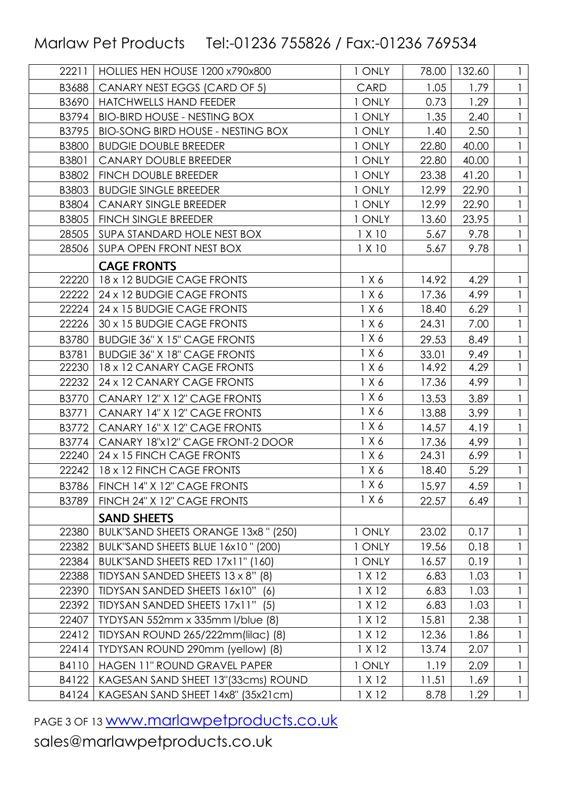| 22211 | HOLLIES HEN HOUSE 1200 x790x800          | 1 ONLY | 78.00 | 132.60 | $\mathbf{1}$ |
|-------|------------------------------------------|--------|-------|--------|--------------|
| B3688 | CANARY NEST EGGS (CARD OF 5)             | CARD   | 1.05  | 1.79   |              |
| B3690 | <b>HATCHWELLS HAND FEEDER</b>            | 1 ONLY | 0.73  | 1.29   |              |
| B3794 | <b>BIO-BIRD HOUSE - NESTING BOX</b>      | 1 ONLY | 1.35  | 2.40   |              |
| B3795 | <b>BIO-SONG BIRD HOUSE - NESTING BOX</b> | 1 ONLY | 1.40  | 2.50   |              |
| B3800 | <b>BUDGIE DOUBLE BREEDER</b>             | 1 ONLY | 22.80 | 40.00  |              |
| B3801 | <b>CANARY DOUBLE BREEDER</b>             | 1 ONLY | 22.80 | 40.00  |              |
| B3802 | <b>FINCH DOUBLE BREEDER</b>              | 1 ONLY | 23.38 | 41.20  |              |
| B3803 | <b>BUDGIE SINGLE BREEDER</b>             | 1 ONLY | 12.99 | 22.90  |              |
| B3804 | <b>CANARY SINGLE BREEDER</b>             | 1 ONLY | 12.99 | 22.90  |              |
| B3805 | FINCH SINGLE BREEDER                     | 1 ONLY | 13.60 | 23.95  |              |
| 28505 | SUPA STANDARD HOLE NEST BOX              | 1 X 10 | 5.67  | 9.78   |              |
| 28506 | SUPA OPEN FRONT NEST BOX                 | 1 X 10 | 5.67  | 9.78   |              |
|       | <b>CAGE FRONTS</b>                       |        |       |        |              |
| 22220 | 18 x 12 BUDGIE CAGE FRONTS               | 1 X 6  | 14.92 | 4.29   |              |
| 22222 | 24 x 12 BUDGIE CAGE FRONTS               | 1 X 6  | 17.36 | 4.99   |              |
| 22224 | 24 x 15 BUDGIE CAGE FRONTS               | 1 X 6  | 18.40 | 6.29   |              |
| 22226 | 30 x 15 BUDGIE CAGE FRONTS               | 1 X 6  | 24.31 | 7.00   |              |
| B3780 | <b>BUDGIE 36" X 15" CAGE FRONTS</b>      | 1 X 6  | 29.53 | 8.49   |              |
| B3781 | <b>BUDGIE 36" X 18" CAGE FRONTS</b>      | 1 X 6  | 33.01 | 9.49   |              |
| 22230 | 18 x 12 CANARY CAGE FRONTS               | 1 X 6  | 14.92 | 4.29   |              |
| 22232 | 24 x 12 CANARY CAGE FRONTS               | 1 X 6  | 17.36 | 4.99   | $\mathbf{1}$ |
| B3770 | CANARY 12" X 12" CAGE FRONTS             | 1 X 6  | 13.53 | 3.89   |              |
| B3771 | CANARY 14" X 12" CAGE FRONTS             | 1 X 6  | 13.88 | 3.99   | $\mathbf{1}$ |
| B3772 | CANARY 16" X 12" CAGE FRONTS             | 1 X 6  | 14.57 | 4.19   |              |
| B3774 | CANARY 18"x12" CAGE FRONT-2 DOOR         | 1 X 6  | 17.36 | 4.99   |              |
| 22240 | 24 x 15 FINCH CAGE FRONTS                | 1 X 6  | 24.31 | 6.99   |              |
| 22242 | 18 x 12 FINCH CAGE FRONTS                | 1 X 6  | 18.40 | 5.29   | $\mathbf{1}$ |
| B3786 | FINCH 14" X 12" CAGE FRONTS              | 1 X 6  | 15.97 | 4.59   | $\mathbf{1}$ |
| B3789 | FINCH 24" X 12" CAGE FRONTS              | 1 X 6  | 22.57 | 6.49   |              |
|       | <b>SAND SHEETS</b>                       |        |       |        |              |
| 22380 | BULK"SAND SHEETS ORANGE 13x8" (250)      | 1 ONLY | 23.02 | 0.17   | $\mathsf{I}$ |
| 22382 | BULK"SAND SHEETS BLUE 16x10" (200)       | 1 ONLY | 19.56 | 0.18   | 1            |
| 22384 | BULK"SAND SHEETS RED 17x11" (160)        | 1 ONLY | 16.57 | 0.19   |              |
| 22388 | TIDYSAN SANDED SHEETS 13 x 8" (8)        | 1 X 12 | 6.83  | 1.03   | $\mathbf{1}$ |
| 22390 | TIDYSAN SANDED SHEETS 16x10"<br>(6)      | 1 X 12 | 6.83  | 1.03   |              |
| 22392 | TIDYSAN SANDED SHEETS 17x11" (5)         | 1 X 12 | 6.83  | 1.03   |              |
| 22407 | TYDYSAN 552mm x 335mm l/blue (8)         | 1 X 12 | 15.81 | 2.38   |              |
| 22412 | TIDYSAN ROUND 265/222mm(lilac) (8)       | 1 X 12 | 12.36 | 1.86   |              |
| 22414 | TYDYSAN ROUND 290mm (yellow) (8)         | 1 X 12 | 13.74 | 2.07   |              |
| B4110 | HAGEN 11" ROUND GRAVEL PAPER             | 1 ONLY | 1.19  | 2.09   |              |
| B4122 | KAGESAN SAND SHEET 13"(33cms) ROUND      | 1 X 12 | 11.51 | 1.69   | $\mathbf{1}$ |
| B4124 | KAGESAN SAND SHEET 14x8" (35x21cm)       | 1 X 12 | 8.78  | 1.29   | $\mathbf{1}$ |

PAGE 3 OF 13 WWW.marlawpetproducts.co.uk sales@marlawpetproducts.co.uk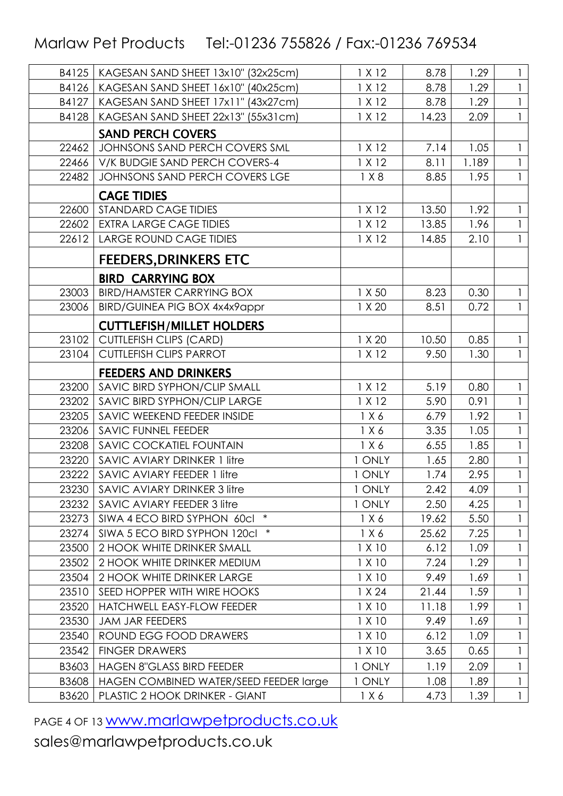| B4125 | KAGESAN SAND SHEET 13x10" (32x25cm)    | 1 X 12 | 8.78  | 1.29  | 1            |
|-------|----------------------------------------|--------|-------|-------|--------------|
| B4126 | KAGESAN SAND SHEET 16x10" (40x25cm)    | 1 X 12 | 8.78  | 1.29  |              |
| B4127 | KAGESAN SAND SHEET 17x11" (43x27cm)    | 1 X 12 | 8.78  | 1.29  | $\mathbf{1}$ |
| B4128 | KAGESAN SAND SHEET 22x13" (55x31cm)    | 1 X 12 | 14.23 | 2.09  | $\mathbf{1}$ |
|       | <b>SAND PERCH COVERS</b>               |        |       |       |              |
| 22462 | JOHNSONS SAND PERCH COVERS SML         | 1 X 12 | 7.14  | 1.05  | $\mathbf{1}$ |
| 22466 | V/K BUDGIE SAND PERCH COVERS-4         | 1 X 12 | 8.11  | 1.189 | $\mathbf{1}$ |
| 22482 | JOHNSONS SAND PERCH COVERS LGE         | 1 X8   | 8.85  | 1.95  | $\mathbf{1}$ |
|       | <b>CAGE TIDIES</b>                     |        |       |       |              |
| 22600 | STANDARD CAGE TIDIES                   | 1 X 12 | 13.50 | 1.92  | 1            |
| 22602 | <b>EXTRA LARGE CAGE TIDIES</b>         | 1 X 12 | 13.85 | 1.96  |              |
| 22612 | <b>LARGE ROUND CAGE TIDIES</b>         | 1 X 12 | 14.85 | 2.10  |              |
|       | <b>FEEDERS, DRINKERS ETC</b>           |        |       |       |              |
|       | <b>BIRD CARRYING BOX</b>               |        |       |       |              |
| 23003 | <b>BIRD/HAMSTER CARRYING BOX</b>       | 1 X 50 | 8.23  | 0.30  | 1            |
| 23006 | <b>BIRD/GUINEA PIG BOX 4x4x9appr</b>   | 1 X 20 | 8.51  | 0.72  |              |
|       | <b>CUTTLEFISH/MILLET HOLDERS</b>       |        |       |       |              |
| 23102 | <b>CUTTLEFISH CLIPS (CARD)</b>         | 1 X 20 | 10.50 | 0.85  | $\mathbf{1}$ |
| 23104 | <b>CUTTLEFISH CLIPS PARROT</b>         | 1 X 12 | 9.50  | 1.30  | $\mathbf{1}$ |
|       | <b>FEEDERS AND DRINKERS</b>            |        |       |       |              |
| 23200 | SAVIC BIRD SYPHON/CLIP SMALL           | 1 X 12 | 5.19  | 0.80  | $\mathbf{1}$ |
| 23202 | SAVIC BIRD SYPHON/CLIP LARGE           | 1 X 12 | 5.90  | 0.91  | $\mathbf{1}$ |
| 23205 | SAVIC WEEKEND FEEDER INSIDE            | 1 X 6  | 6.79  | 1.92  |              |
| 23206 | SAVIC FUNNEL FEEDER                    | 1 X 6  | 3.35  | 1.05  | 1            |
| 23208 | SAVIC COCKATIEL FOUNTAIN               | 1 X 6  | 6.55  | 1.85  | $\mathbf{1}$ |
| 23220 | <b>SAVIC AVIARY DRINKER 1 litre</b>    | 1 ONLY | 1.65  | 2.80  |              |
| 23222 | <b>SAVIC AVIARY FEEDER 1 litre</b>     | 1 ONLY | 1.74  | 2.95  | $\mathbf{1}$ |
| 23230 | SAVIC AVIARY DRINKER 3 litre           | 1 ONLY | 2.42  | 4.09  |              |
| 23232 | SAVIC AVIARY FEEDER 3 litre            | 1 ONLY | 2.50  | 4.25  |              |
| 23273 | $\ast$<br>SIWA 4 ECO BIRD SYPHON 60cl  | 1 X 6  | 19.62 | 5.50  | 1            |
| 23274 | $\ast$<br>SIWA 5 ECO BIRD SYPHON 120cl | 1 X 6  | 25.62 | 7.25  |              |
| 23500 | 2 HOOK WHITE DRINKER SMALL             | 1 X 10 | 6.12  | 1.09  | $\mathbf{1}$ |
| 23502 | 2 HOOK WHITE DRINKER MEDIUM            | 1 X 10 | 7.24  | 1.29  |              |
| 23504 | 2 HOOK WHITE DRINKER LARGE             | 1 X 10 | 9.49  | 1.69  | 1            |
| 23510 | SEED HOPPER WITH WIRE HOOKS            | 1 X 24 | 21.44 | 1.59  |              |
| 23520 | HATCHWELL EASY-FLOW FEEDER             | 1 X 10 | 11.18 | 1.99  |              |
| 23530 | <b>JAM JAR FEEDERS</b>                 | 1 X 10 | 9.49  | 1.69  |              |
| 23540 | ROUND EGG FOOD DRAWERS                 | 1 X 10 | 6.12  | 1.09  |              |
| 23542 | <b>FINGER DRAWERS</b>                  | 1 X 10 | 3.65  | 0.65  | $\mathbf{1}$ |
| B3603 | <b>HAGEN 8"GLASS BIRD FEEDER</b>       | 1 ONLY | 1.19  | 2.09  |              |
| B3608 | HAGEN COMBINED WATER/SEED FEEDER large | 1 ONLY | 1.08  | 1.89  |              |
| B3620 | PLASTIC 2 HOOK DRINKER - GIANT         | 1 X 6  | 4.73  | 1.39  | $\mathbf{1}$ |

PAGE 4 OF 13 WWW.marlawpetproducts.co.uk sales@marlawpetproducts.co.uk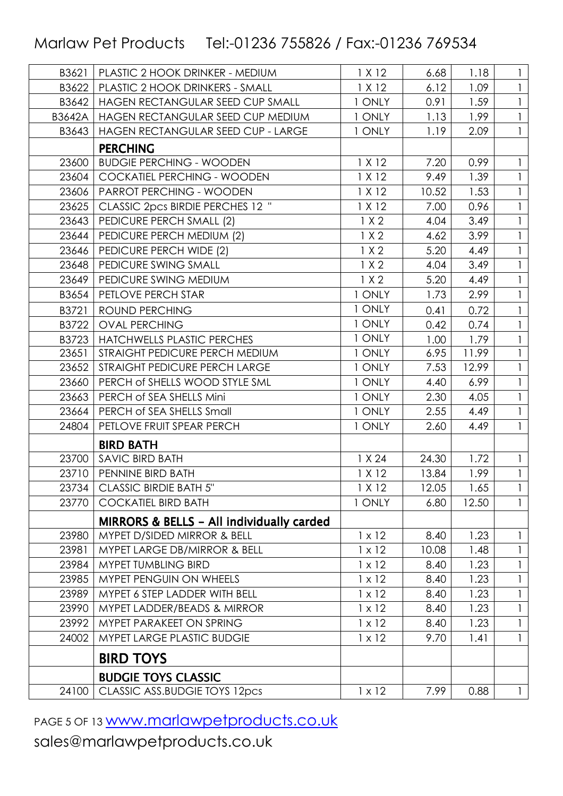| B3621  | PLASTIC 2 HOOK DRINKER - MEDIUM           | 1 X 12        | 6.68  | 1.18  | 1            |
|--------|-------------------------------------------|---------------|-------|-------|--------------|
| B3622  | <b>PLASTIC 2 HOOK DRINKERS - SMALL</b>    | 1 X 12        | 6.12  | 1.09  |              |
| B3642  | HAGEN RECTANGULAR SEED CUP SMALL          | 1 ONLY        | 0.91  | 1.59  | $\mathbf{1}$ |
| B3642A | HAGEN RECTANGULAR SEED CUP MEDIUM         | 1 ONLY        | 1.13  | 1.99  | 1            |
| B3643  | HAGEN RECTANGULAR SEED CUP - LARGE        | 1 ONLY        | 1.19  | 2.09  |              |
|        | <b>PERCHING</b>                           |               |       |       |              |
| 23600  | <b>BUDGIE PERCHING - WOODEN</b>           | 1 X 12        | 7.20  | 0.99  | 1            |
| 23604  | COCKATIEL PERCHING - WOODEN               | 1 X 12        | 9.49  | 1.39  |              |
| 23606  | PARROT PERCHING - WOODEN                  | 1 X 12        | 10.52 | 1.53  | $\mathbf{1}$ |
| 23625  | CLASSIC 2pcs BIRDIE PERCHES 12 "          | 1 X 12        | 7.00  | 0.96  |              |
| 23643  | PEDICURE PERCH SMALL (2)                  | 1 X 2         | 4.04  | 3.49  |              |
| 23644  | PEDICURE PERCH MEDIUM (2)                 | 1 X 2         | 4.62  | 3.99  | $\mathbf{1}$ |
| 23646  | PEDICURE PERCH WIDE (2)                   | 1 X 2         | 5.20  | 4.49  |              |
| 23648  | PEDICURE SWING SMALL                      | 1 X 2         | 4.04  | 3.49  | $\mathbf{1}$ |
| 23649  | PEDICURE SWING MEDIUM                     | 1 X 2         | 5.20  | 4.49  |              |
| B3654  | PETLOVE PERCH STAR                        | 1 ONLY        | 1.73  | 2.99  | $\mathbf{1}$ |
| B3721  | ROUND PERCHING                            | 1 ONLY        | 0.41  | 0.72  | $\mathbf{1}$ |
| B3722  | <b>OVAL PERCHING</b>                      | 1 ONLY        | 0.42  | 0.74  |              |
| B3723  | <b>HATCHWELLS PLASTIC PERCHES</b>         | 1 ONLY        | 1.00  | 1.79  |              |
| 23651  | STRAIGHT PEDICURE PERCH MEDIUM            | 1 ONLY        | 6.95  | 11.99 |              |
| 23652  | STRAIGHT PEDICURE PERCH LARGE             | 1 ONLY        | 7.53  | 12.99 | $\mathbf{1}$ |
| 23660  | PERCH of SHELLS WOOD STYLE SML            | 1 ONLY        | 4.40  | 6.99  |              |
| 23663  | PERCH of SEA SHELLS Mini                  | 1 ONLY        | 2.30  | 4.05  | $\mathbf{1}$ |
| 23664  | PERCH of SEA SHELLS Small                 | 1 ONLY        | 2.55  | 4.49  | $\mathbf{1}$ |
| 24804  | PETLOVE FRUIT SPEAR PERCH                 | 1 ONLY        | 2.60  | 4.49  |              |
|        | <b>BIRD BATH</b>                          |               |       |       |              |
| 23700  | SAVIC BIRD BATH                           | 1 X 24        | 24.30 | 1.72  | 1            |
| 23710  | PENNINE BIRD BATH                         | 1 X 12        | 13.84 | 1.99  |              |
|        | 23734   CLASSIC BIRDIE BATH 5"            | 1 X 12        | 12.05 | 1.65  | $\mathbf{1}$ |
| 23770  | <b>COCKATIEL BIRD BATH</b>                | 1 ONLY        | 6.80  | 12.50 | 1            |
|        | MIRRORS & BELLS - All individually carded |               |       |       |              |
| 23980  | MYPET D/SIDED MIRROR & BELL               | $1 \times 12$ | 8.40  | 1.23  |              |
| 23981  | MYPET LARGE DB/MIRROR & BELL              | $1 \times 12$ | 10.08 | 1.48  | $\mathbf{1}$ |
| 23984  | MYPET TUMBLING BIRD                       | $1 \times 12$ | 8.40  | 1.23  | 1            |
| 23985  | <b>MYPET PENGUIN ON WHEELS</b>            | $1 \times 12$ | 8.40  | 1.23  |              |
| 23989  | MYPET 6 STEP LADDER WITH BELL             | $1 \times 12$ | 8.40  | 1.23  | $\mathbf{1}$ |
| 23990  | MYPET LADDER/BEADS & MIRROR               | $1 \times 12$ | 8.40  | 1.23  |              |
| 23992  | MYPET PARAKEET ON SPRING                  | $1 \times 12$ | 8.40  | 1.23  | $\mathbf{1}$ |
| 24002  | MYPET LARGE PLASTIC BUDGIE                | $1 \times 12$ | 9.70  | 1.41  |              |
|        | <b>BIRD TOYS</b>                          |               |       |       |              |
|        | <b>BUDGIE TOYS CLASSIC</b>                |               |       |       |              |
| 24100  | CLASSIC ASS.BUDGIE TOYS 12pcs             | $1 \times 12$ | 7.99  | 0.88  |              |

PAGE 5 OF 13 WWW.marlawpetproducts.co.uk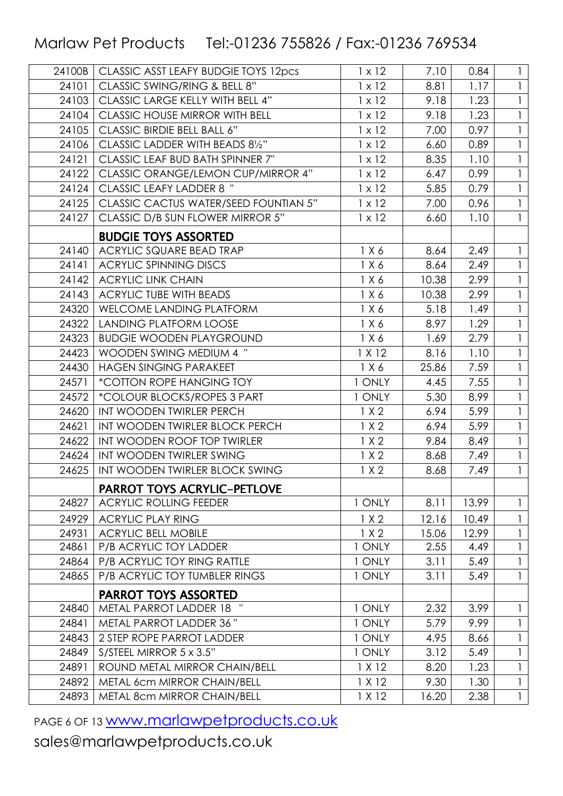| 24100B | CLASSIC ASST LEAFY BUDGIE TOYS 12pcs  | $1 \times 12$ | 7.10  | 0.84  | $\mathbf{1}$ |
|--------|---------------------------------------|---------------|-------|-------|--------------|
| 24101  | CLASSIC SWING/RING & BELL 8"          | $1 \times 12$ | 8.81  | 1.17  |              |
| 24103  | CLASSIC LARGE KELLY WITH BELL 4"      | $1 \times 12$ | 9.18  | 1.23  |              |
| 24104  | CLASSIC HOUSE MIRROR WITH BELL        | $1 \times 12$ | 9.18  | 1.23  |              |
| 24105  | CLASSIC BIRDIE BELL BALL 6"           | $1 \times 12$ | 7.00  | 0.97  |              |
| 24106  | CLASSIC LADDER WITH BEADS 81/2"       | $1 \times 12$ | 6.60  | 0.89  | 1            |
| 24121  | CLASSIC LEAF BUD BATH SPINNER 7"      | $1 \times 12$ | 8.35  | 1.10  |              |
| 24122  | CLASSIC ORANGE/LEMON CUP/MIRROR 4"    | $1 \times 12$ | 6.47  | 0.99  | $\mathbf{1}$ |
| 24124  | <b>CLASSIC LEAFY LADDER 8 "</b>       | $1 \times 12$ | 5.85  | 0.79  |              |
| 24125  | CLASSIC CACTUS WATER/SEED FOUNTIAN 5" | $1 \times 12$ | 7.00  | 0.96  | $\mathbf{1}$ |
| 24127  | CLASSIC D/B SUN FLOWER MIRROR 5"      | $1 \times 12$ | 6.60  | 1.10  | $\mathbf{1}$ |
|        | <b>BUDGIE TOYS ASSORTED</b>           |               |       |       |              |
| 24140  | ACRYLIC SQUARE BEAD TRAP              | 1 X 6         | 8.64  | 2.49  |              |
| 24141  | <b>ACRYLIC SPINNING DISCS</b>         | 1 X 6         | 8.64  | 2.49  | $\mathbf{1}$ |
| 24142  | <b>ACRYLIC LINK CHAIN</b>             | 1 X 6         | 10.38 | 2.99  |              |
| 24143  | <b>ACRYLIC TUBE WITH BEADS</b>        | 1 X 6         | 10.38 | 2.99  | 1            |
| 24320  | WELCOME LANDING PLATFORM              | 1 X 6         | 5.18  | 1.49  | $\mathbf{1}$ |
| 24322  | <b>LANDING PLATFORM LOOSE</b>         | 1 X 6         | 8.97  | 1.29  |              |
| 24323  | <b>BUDGIE WOODEN PLAYGROUND</b>       | 1 X 6         | 1.69  | 2.79  | $\mathbf{1}$ |
| 24423  | WOODEN SWING MEDIUM 4 "               | 1 X 12        | 8.16  | 1.10  |              |
| 24430  | <b>HAGEN SINGING PARAKEET</b>         | 1 X 6         | 25.86 | 7.59  | $\mathbf{1}$ |
| 24571  | <i>*COTTON ROPE HANGING TOY</i>       | 1 ONLY        | 4.45  | 7.55  | $\mathbf{1}$ |
| 24572  | *COLOUR BLOCKS/ROPES 3 PART           | 1 ONLY        | 5.30  | 8.99  |              |
| 24620  | INT WOODEN TWIRLER PERCH              | 1 X 2         | 6.94  | 5.99  | $\mathbf{1}$ |
| 24621  | INT WOODEN TWIRLER BLOCK PERCH        | 1 X 2         | 6.94  | 5.99  |              |
| 24622  | INT WOODEN ROOF TOP TWIRLER           | 1 X 2         | 9.84  | 8.49  | $\mathbf{1}$ |
| 24624  | INT WOODEN TWIRLER SWING              | 1 X 2         | 8.68  | 7.49  |              |
| 24625  | INT WOODEN TWIRLER BLOCK SWING        | 1 X 2         | 8.68  | 7.49  | $\mathbf{1}$ |
|        | <b>PARROT TOYS ACRYLIC-PETLOVE</b>    |               |       |       |              |
| 24827  | <b>ACRYLIC ROLLING FEEDER</b>         | 1 ONLY        | 8.11  | 13.99 | $\mathbf{1}$ |
| 24929  | <b>ACRYLIC PLAY RING</b>              | 1 X 2         | 12.16 | 10.49 |              |
| 24931  | <b>ACRYLIC BELL MOBILE</b>            | 1 X 2         | 15.06 | 12.99 | $\mathbf{I}$ |
| 24861  | P/B ACRYLIC TOY LADDER                | 1 ONLY        | 2.55  | 4.49  | $\mathbf{1}$ |
| 24864  | P/B ACRYLIC TOY RING RATTLE           | 1 ONLY        | 3.11  | 5.49  |              |
| 24865  | P/B ACRYLIC TOY TUMBLER RINGS         | 1 ONLY        | 3.11  | 5.49  | $\mathbf{1}$ |
|        | <b>PARROT TOYS ASSORTED</b>           |               |       |       |              |
| 24840  | METAL PARROT LADDER 18 "              | 1 ONLY        | 2.32  | 3.99  |              |
| 24841  | METAL PARROT LADDER 36"               | 1 ONLY        | 5.79  | 9.99  | 1            |
| 24843  | 2 STEP ROPE PARROT LADDER             | 1 ONLY        | 4.95  | 8.66  |              |
| 24849  | S/STEEL MIRROR 5 x 3.5"               | 1 ONLY        | 3.12  | 5.49  |              |
| 24891  | ROUND METAL MIRROR CHAIN/BELL         | 1 X 12        | 8.20  | 1.23  | $\mathbf{I}$ |
| 24892  | METAL 6cm MIRROR CHAIN/BELL           | 1 X 12        | 9.30  | 1.30  |              |
| 24893  | METAL 8cm MIRROR CHAIN/BELL           | 1 X 12        | 16.20 | 2.38  | $\mathbf{1}$ |

PAGE 6 OF 13 WWW.marlawpetproducts.co.uk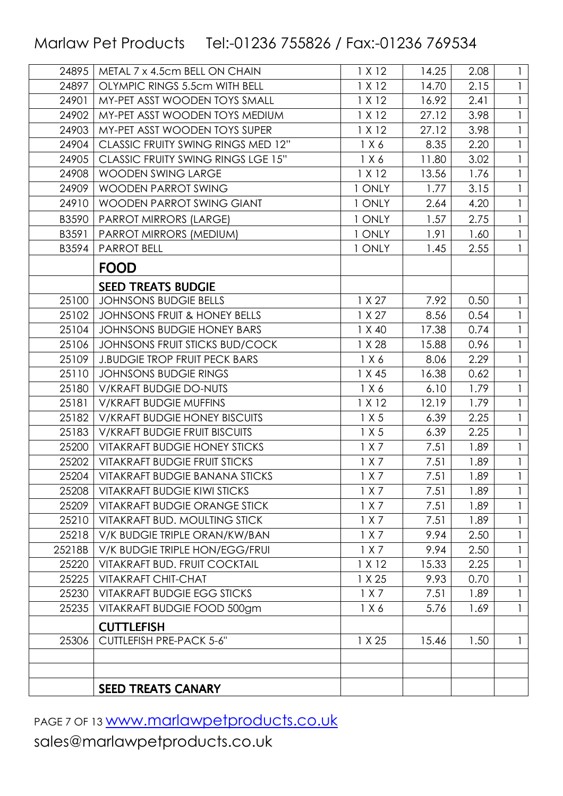| 24895  | METAL 7 x 4.5cm BELL ON CHAIN             | 1 X 12 | 14.25 | 2.08 | 1            |
|--------|-------------------------------------------|--------|-------|------|--------------|
| 24897  | OLYMPIC RINGS 5.5cm WITH BELL             | 1 X 12 | 14.70 | 2.15 |              |
| 24901  | MY-PET ASST WOODEN TOYS SMALL             | 1 X 12 | 16.92 | 2.41 | $\mathbf{1}$ |
| 24902  | MY-PET ASST WOODEN TOYS MEDIUM            | 1 X 12 | 27.12 | 3.98 | $\mathbf{1}$ |
| 24903  | MY-PET ASST WOODEN TOYS SUPER             | 1 X 12 | 27.12 | 3.98 |              |
| 24904  | CLASSIC FRUITY SWING RINGS MED 12"        | 1 X 6  | 8.35  | 2.20 | $\mathbf{1}$ |
| 24905  | <b>CLASSIC FRUITY SWING RINGS LGE 15"</b> | 1 X 6  | 11.80 | 3.02 |              |
| 24908  | <b>WOODEN SWING LARGE</b>                 | 1 X 12 | 13.56 | 1.76 |              |
| 24909  | <b>WOODEN PARROT SWING</b>                | 1 ONLY | 1.77  | 3.15 |              |
| 24910  | WOODEN PARROT SWING GIANT                 | 1 ONLY | 2.64  | 4.20 |              |
| B3590  | <b>PARROT MIRRORS (LARGE)</b>             | 1 ONLY | 1.57  | 2.75 |              |
| B3591  | PARROT MIRRORS (MEDIUM)                   | 1 ONLY | 1.91  | 1.60 |              |
| B3594  | <b>PARROT BELL</b>                        | 1 ONLY | 1.45  | 2.55 |              |
|        | <b>FOOD</b>                               |        |       |      |              |
|        | <b>SEED TREATS BUDGIE</b>                 |        |       |      |              |
| 25100  | <b>JOHNSONS BUDGIE BELLS</b>              | 1 X 27 | 7.92  | 0.50 |              |
| 25102  | JOHNSONS FRUIT & HONEY BELLS              | 1 X 27 | 8.56  | 0.54 | $\mathbf{1}$ |
| 25104  | <b>JOHNSONS BUDGIE HONEY BARS</b>         | 1 X 40 | 17.38 | 0.74 |              |
| 25106  | JOHNSONS FRUIT STICKS BUD/COCK            | 1 X 28 | 15.88 | 0.96 |              |
| 25109  | <b>J.BUDGIE TROP FRUIT PECK BARS</b>      | 1 X 6  | 8.06  | 2.29 |              |
| 25110  | <b>JOHNSONS BUDGIE RINGS</b>              | 1 X 45 | 16.38 | 0.62 |              |
| 25180  | V/KRAFT BUDGIE DO-NUTS                    | 1 X 6  | 6.10  | 1.79 | $\mathbf{1}$ |
| 25181  | <b>V/KRAFT BUDGIE MUFFINS</b>             | 1 X 12 | 12.19 | 1.79 |              |
| 25182  | <b>V/KRAFT BUDGIE HONEY BISCUITS</b>      | 1 X 5  | 6.39  | 2.25 | 1            |
| 25183  | <b>V/KRAFT BUDGIE FRUIT BISCUITS</b>      | 1 X 5  | 6.39  | 2.25 |              |
| 25200  | <b>VITAKRAFT BUDGIE HONEY STICKS</b>      | 1 X 7  | 7.51  | 1.89 |              |
| 25202  | <b>VITAKRAFT BUDGIE FRUIT STICKS</b>      | 1 X 7  | 7.51  | 1.89 |              |
| 25204  | <b>VITAKRAFT BUDGIE BANANA STICKS</b>     | 1 X 7  | 7.51  | 1.89 |              |
| 25208  | <b>VITAKRAFT BUDGIE KIWI STICKS</b>       | 1 X 7  | 7.51  | 1.89 | 1            |
| 25209  | <b>VITAKRAFT BUDGIE ORANGE STICK</b>      | 1 X 7  | 7.51  | 1.89 |              |
| 25210  | VITAKRAFT BUD. MOULTING STICK             | 1 X 7  | 7.51  | 1.89 | 1            |
| 25218  | V/K BUDGIE TRIPLE ORAN/KW/BAN             | 1 X 7  | 9.94  | 2.50 | 1            |
| 25218B | V/K BUDGIE TRIPLE HON/EGG/FRUI            | 1 X 7  | 9.94  | 2.50 |              |
| 25220  | VITAKRAFT BUD. FRUIT COCKTAIL             | 1 X 12 | 15.33 | 2.25 |              |
| 25225  | <b>VITAKRAFT CHIT-CHAT</b>                | 1 X 25 | 9.93  | 0.70 |              |
| 25230  | <b>VITAKRAFT BUDGIE EGG STICKS</b>        | 1 X 7  | 7.51  | 1.89 |              |
| 25235  | VITAKRAFT BUDGIE FOOD 500gm               | 1 X 6  | 5.76  | 1.69 | $\mathbf{1}$ |
|        | <b>CUTTLEFISH</b>                         |        |       |      |              |
| 25306  | CUTTLEFISH PRE-PACK 5-6"                  | 1 X 25 | 15.46 | 1.50 | 1            |
|        |                                           |        |       |      |              |
|        |                                           |        |       |      |              |
|        | <b>SEED TREATS CANARY</b>                 |        |       |      |              |

PAGE 7 OF 13 WWW.marlawpetproducts.co.uk sales@marlawpetproducts.co.uk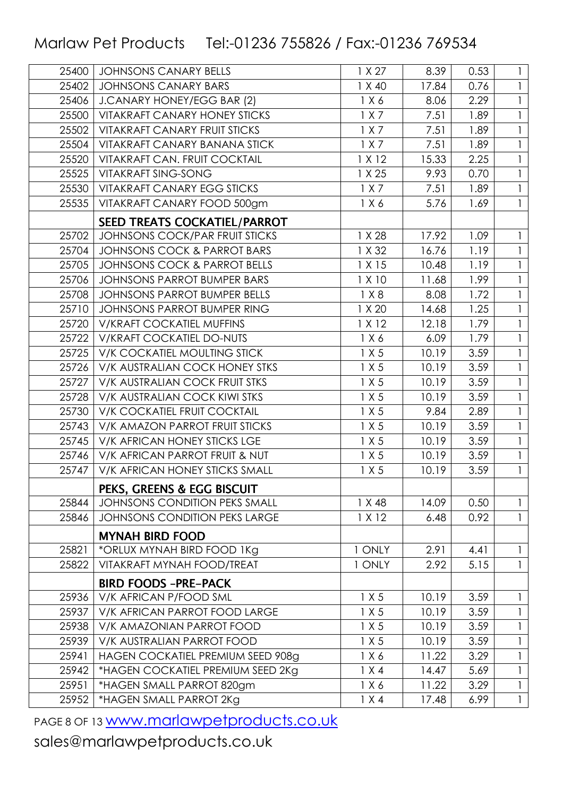| 25400 | <b>JOHNSONS CANARY BELLS</b>            | 1 X 27 | 8.39  | 0.53 | $\mathbf{1}$ |
|-------|-----------------------------------------|--------|-------|------|--------------|
| 25402 | <b>JOHNSONS CANARY BARS</b>             | 1 X 40 | 17.84 | 0.76 |              |
| 25406 | J.CANARY HONEY/EGG BAR (2)              | 1 X 6  | 8.06  | 2.29 |              |
| 25500 | <b>VITAKRAFT CANARY HONEY STICKS</b>    | 1 X 7  | 7.51  | 1.89 |              |
| 25502 | <b>VITAKRAFT CANARY FRUIT STICKS</b>    | 1 X 7  | 7.51  | 1.89 |              |
| 25504 | VITAKRAFT CANARY BANANA STICK           | 1 X 7  | 7.51  | 1.89 |              |
| 25520 | <b>VITAKRAFT CAN. FRUIT COCKTAIL</b>    | 1 X 12 | 15.33 | 2.25 |              |
| 25525 | <b>VITAKRAFT SING-SONG</b>              | 1 X 25 | 9.93  | 0.70 |              |
| 25530 | <b>VITAKRAFT CANARY EGG STICKS</b>      | 1 X 7  | 7.51  | 1.89 |              |
| 25535 | VITAKRAFT CANARY FOOD 500gm             | 1 X 6  | 5.76  | 1.69 |              |
|       | <b>SEED TREATS COCKATIEL/PARROT</b>     |        |       |      |              |
| 25702 | <b>JOHNSONS COCK/PAR FRUIT STICKS</b>   | 1 X 28 | 17.92 | 1.09 |              |
| 25704 | <b>JOHNSONS COCK &amp; PARROT BARS</b>  | 1 X 32 | 16.76 | 1.19 |              |
| 25705 | <b>JOHNSONS COCK &amp; PARROT BELLS</b> | 1 X 15 | 10.48 | 1.19 |              |
| 25706 | JOHNSONS PARROT BUMPER BARS             | 1 X 10 | 11.68 | 1.99 |              |
| 25708 | <b>JOHNSONS PARROT BUMPER BELLS</b>     | 1 X 8  | 8.08  | 1.72 |              |
| 25710 | JOHNSONS PARROT BUMPER RING             | 1 X 20 | 14.68 | 1.25 |              |
| 25720 | <b>V/KRAFT COCKATIEL MUFFINS</b>        | 1 X 12 | 12.18 | 1.79 |              |
| 25722 | V/KRAFT COCKATIEL DO-NUTS               | 1 X 6  | 6.09  | 1.79 |              |
| 25725 | V/K COCKATIEL MOULTING STICK            | 1 X 5  | 10.19 | 3.59 |              |
| 25726 | V/K AUSTRALIAN COCK HONEY STKS          | 1 X 5  | 10.19 | 3.59 |              |
| 25727 | V/K AUSTRALIAN COCK FRUIT STKS          | 1 X 5  | 10.19 | 3.59 |              |
| 25728 | V/K AUSTRALIAN COCK KIWI STKS           | 1 X 5  | 10.19 | 3.59 |              |
| 25730 | V/K COCKATIEL FRUIT COCKTAIL            | 1 X 5  | 9.84  | 2.89 |              |
| 25743 | V/K AMAZON PARROT FRUIT STICKS          | 1 X 5  | 10.19 | 3.59 |              |
| 25745 | V/K AFRICAN HONEY STICKS LGE            | 1 X 5  | 10.19 | 3.59 |              |
| 25746 | V/K AFRICAN PARROT FRUIT & NUT          | 1 X 5  | 10.19 | 3.59 |              |
| 25747 | V/K AFRICAN HONEY STICKS SMALL          | 1 X 5  | 10.19 | 3.59 |              |
|       | <b>PEKS, GREENS &amp; EGG BISCUIT</b>   |        |       |      |              |
| 25844 | <b>JOHNSONS CONDITION PEKS SMALL</b>    | 1 X 48 | 14.09 | 0.50 | $\mathbf{1}$ |
| 25846 | <b>JOHNSONS CONDITION PEKS LARGE</b>    | 1 X 12 | 6.48  | 0.92 | $\mathbf{1}$ |
|       | <b>MYNAH BIRD FOOD</b>                  |        |       |      |              |
| 25821 | *ORLUX MYNAH BIRD FOOD 1Kg              | 1 ONLY | 2.91  | 4.41 |              |
| 25822 | VITAKRAFT MYNAH FOOD/TREAT              | 1 ONLY | 2.92  | 5.15 | $\mathbf{1}$ |
|       | <b>BIRD FOODS -PRE-PACK</b>             |        |       |      |              |
| 25936 | V/K AFRICAN P/FOOD SML                  | 1 X 5  | 10.19 | 3.59 | $\mathbf{1}$ |
| 25937 | V/K AFRICAN PARROT FOOD LARGE           | 1 X 5  | 10.19 | 3.59 |              |
| 25938 | V/K AMAZONIAN PARROT FOOD               | 1 X 5  | 10.19 | 3.59 |              |
| 25939 | V/K AUSTRALIAN PARROT FOOD              | 1 X 5  | 10.19 | 3.59 |              |
| 25941 | HAGEN COCKATIEL PREMIUM SEED 908g       | 1 X 6  | 11.22 | 3.29 | 1            |
| 25942 | *HAGEN COCKATIEL PREMIUM SEED 2Kg       | 1 X 4  | 14.47 | 5.69 |              |
| 25951 | *HAGEN SMALL PARROT 820gm               | 1 X 6  | 11.22 | 3.29 | $\mathbf{1}$ |
| 25952 | *HAGEN SMALL PARROT 2Kg                 | 1 X 4  | 17.48 | 6.99 | $\mathbf{1}$ |
|       |                                         |        |       |      |              |

PAGE 8 OF 13 WWW.marlawpetproducts.co.uk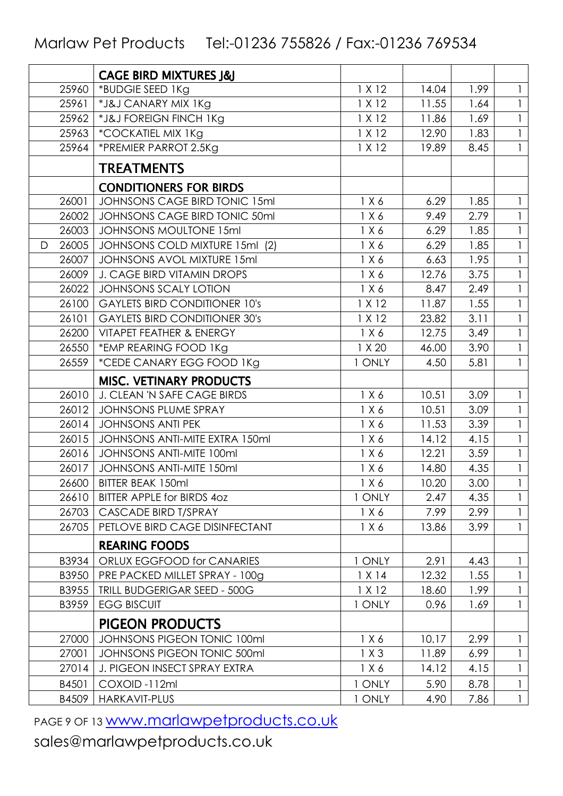|   |       | <b>CAGE BIRD MIXTURES J&amp;J</b>    |        |       |      |              |
|---|-------|--------------------------------------|--------|-------|------|--------------|
|   | 25960 | *BUDGIE SEED 1Kg                     | 1 X 12 | 14.04 | 1.99 | 1            |
|   | 25961 | *J&J CANARY MIX 1Kg                  | 1 X 12 | 11.55 | 1.64 |              |
|   | 25962 | *J&J FOREIGN FINCH 1Kg               | 1 X 12 | 11.86 | 1.69 | $\mathbf{1}$ |
|   | 25963 | *COCKATIEL MIX 1Kg                   | 1 X 12 | 12.90 | 1.83 |              |
|   | 25964 | *PREMIER PARROT 2.5Kg                | 1 X 12 | 19.89 | 8.45 | $\mathbf{1}$ |
|   |       | <b>TREATMENTS</b>                    |        |       |      |              |
|   |       | <b>CONDITIONERS FOR BIRDS</b>        |        |       |      |              |
|   | 26001 | JOHNSONS CAGE BIRD TONIC 15ml        | 1 X 6  | 6.29  | 1.85 |              |
|   | 26002 | JOHNSONS CAGE BIRD TONIC 50ml        | 1 X 6  | 9.49  | 2.79 |              |
|   | 26003 | <b>JOHNSONS MOULTONE 15ml</b>        | 1 X 6  | 6.29  | 1.85 |              |
| D | 26005 | JOHNSONS COLD MIXTURE 15ml (2)       | 1 X 6  | 6.29  | 1.85 |              |
|   | 26007 | JOHNSONS AVOL MIXTURE 15ml           | 1 X 6  | 6.63  | 1.95 | $\mathbf{1}$ |
|   | 26009 | <b>J. CAGE BIRD VITAMIN DROPS</b>    | 1 X 6  | 12.76 | 3.75 |              |
|   | 26022 | <b>JOHNSONS SCALY LOTION</b>         | 1 X 6  | 8.47  | 2.49 | $\mathbf{1}$ |
|   | 26100 | <b>GAYLETS BIRD CONDITIONER 10's</b> | 1 X 12 | 11.87 | 1.55 | $\mathbf{1}$ |
|   | 26101 | <b>GAYLETS BIRD CONDITIONER 30's</b> | 1 X 12 | 23.82 | 3.11 |              |
|   | 26200 | VITAPET FEATHER & ENERGY             | 1 X 6  | 12.75 | 3.49 | $\mathbf{1}$ |
|   | 26550 | *EMP REARING FOOD 1Kg                | 1 X 20 | 46.00 | 3.90 |              |
|   | 26559 | *CEDE CANARY EGG FOOD 1Kg            | 1 ONLY | 4.50  | 5.81 | $\mathbf{1}$ |
|   |       | <b>MISC. VETINARY PRODUCTS</b>       |        |       |      |              |
|   | 26010 | J. CLEAN 'N SAFE CAGE BIRDS          | 1 X 6  | 10.51 | 3.09 | $\mathbf{1}$ |
|   | 26012 | <b>JOHNSONS PLUME SPRAY</b>          | 1 X 6  | 10.51 | 3.09 |              |
|   | 26014 | <b>JOHNSONS ANTI PEK</b>             | 1 X 6  | 11.53 | 3.39 | $\mathbf{1}$ |
|   | 26015 | JOHNSONS ANTI-MITE EXTRA 150ml       | 1 X 6  | 14.12 | 4.15 |              |
|   | 26016 | <b>JOHNSONS ANTI-MITE 100ml</b>      | 1 X 6  | 12.21 | 3.59 | $\mathbf{1}$ |
|   | 26017 | JOHNSONS ANTI-MITE 150ml             | 1 X 6  | 14.80 | 4.35 | $\mathbf{1}$ |
|   | 26600 | BITTER BEAK 150ml                    | 1 X 6  | 10.20 | 3.00 |              |
|   | 26610 | BITTER APPLE for BIRDS 40Z           | 1 ONLY | 2.47  | 4.35 | $\mathbf{1}$ |
|   | 26703 | CASCADE BIRD T/SPRAY                 | 1 X 6  | 7.99  | 2.99 |              |
|   | 26705 | PETLOVE BIRD CAGE DISINFECTANT       | 1 X 6  | 13.86 | 3.99 | $\mathbf{1}$ |
|   |       | <b>REARING FOODS</b>                 |        |       |      |              |
|   | B3934 | ORLUX EGGFOOD for CANARIES           | 1 ONLY | 2.91  | 4.43 | $\mathbf{1}$ |
|   | B3950 | PRE PACKED MILLET SPRAY - 100g       | 1 X 14 | 12.32 | 1.55 |              |
|   | B3955 | <b>TRILL BUDGERIGAR SEED - 500G</b>  | 1 X 12 | 18.60 | 1.99 | $\mathbf{1}$ |
|   | B3959 | <b>EGG BISCUIT</b>                   | 1 ONLY | 0.96  | 1.69 | $\mathbf{1}$ |
|   |       | <b>PIGEON PRODUCTS</b>               |        |       |      |              |
|   | 27000 | JOHNSONS PIGEON TONIC 100ml          | 1 X 6  | 10.17 | 2.99 | 1            |
|   | 27001 | JOHNSONS PIGEON TONIC 500ml          | 1X3    | 11.89 | 6.99 |              |
|   | 27014 | J. PIGEON INSECT SPRAY EXTRA         | 1 X 6  | 14.12 | 4.15 | $\mathbf{1}$ |
|   | B4501 | COXOID-112ml                         | 1 ONLY | 5.90  | 8.78 | $\mathbf{1}$ |
|   | B4509 | HARKAVIT-PLUS                        | 1 ONLY | 4.90  | 7.86 | $\mathbf{1}$ |

PAGE 9 OF 13 WWW.marlawpetproducts.co.uk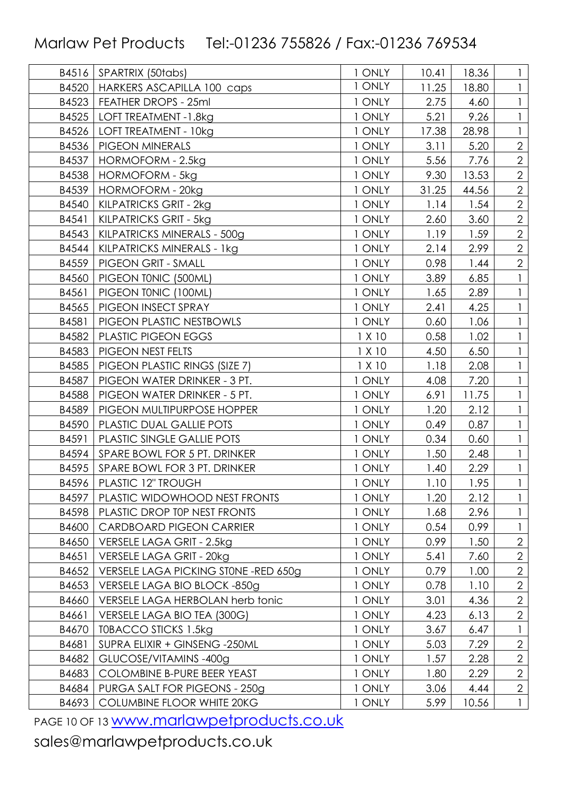| B4516 | SPARTRIX (50tabs)                    | 1 ONLY | 10.41 | 18.36 |                |
|-------|--------------------------------------|--------|-------|-------|----------------|
| B4520 | HARKERS ASCAPILLA 100 caps           | 1 ONLY | 11.25 | 18.80 |                |
| B4523 | FEATHER DROPS - 25ml                 | 1 ONLY | 2.75  | 4.60  |                |
| B4525 | LOFT TREATMENT -1.8kg                | 1 ONLY | 5.21  | 9.26  |                |
| B4526 | LOFT TREATMENT - 10kg                | 1 ONLY | 17.38 | 28.98 |                |
| B4536 | PIGEON MINERALS                      | 1 ONLY | 3.11  | 5.20  | $\overline{2}$ |
| B4537 | HORMOFORM - 2.5kg                    | 1 ONLY | 5.56  | 7.76  | $\overline{2}$ |
| B4538 | <b>HORMOFORM - 5kg</b>               | 1 ONLY | 9.30  | 13.53 | $\overline{2}$ |
| B4539 | <b>HORMOFORM - 20kg</b>              | 1 ONLY | 31.25 | 44.56 | $\overline{2}$ |
| B4540 | KILPATRICKS GRIT - 2kg               | 1 ONLY | 1.14  | 1.54  | $\overline{2}$ |
| B4541 | KILPATRICKS GRIT - 5kg               | 1 ONLY | 2.60  | 3.60  | $\overline{2}$ |
| B4543 | KILPATRICKS MINERALS - 500g          | 1 ONLY | 1.19  | 1.59  | $\overline{2}$ |
| B4544 | KILPATRICKS MINERALS - 1kg           | 1 ONLY | 2.14  | 2.99  | $\overline{2}$ |
| B4559 | PIGEON GRIT - SMALL                  | 1 ONLY | 0.98  | 1.44  | $\overline{2}$ |
| B4560 | PIGEON TONIC (500ML)                 | 1 ONLY | 3.89  | 6.85  |                |
| B4561 | PIGEON TONIC (100ML)                 | 1 ONLY | 1.65  | 2.89  |                |
| B4565 | PIGEON INSECT SPRAY                  | 1 ONLY | 2.41  | 4.25  |                |
| B4581 | PIGEON PLASTIC NESTBOWLS             | 1 ONLY | 0.60  | 1.06  |                |
| B4582 | PLASTIC PIGEON EGGS                  | 1 X 10 | 0.58  | 1.02  |                |
| B4583 | PIGEON NEST FELTS                    | 1 X 10 | 4.50  | 6.50  |                |
| B4585 | PIGEON PLASTIC RINGS (SIZE 7)        | 1 X 10 | 1.18  | 2.08  |                |
| B4587 | PIGEON WATER DRINKER - 3 PT.         | 1 ONLY | 4.08  | 7.20  |                |
| B4588 | PIGEON WATER DRINKER - 5 PT.         | 1 ONLY | 6.91  | 11.75 |                |
| B4589 | PIGEON MULTIPURPOSE HOPPER           | 1 ONLY | 1.20  | 2.12  |                |
| B4590 | PLASTIC DUAL GALLIE POTS             | 1 ONLY | 0.49  | 0.87  |                |
| B4591 | PLASTIC SINGLE GALLIE POTS           | 1 ONLY | 0.34  | 0.60  |                |
| B4594 | SPARE BOWL FOR 5 PT. DRINKER         | 1 ONLY | 1.50  | 2.48  |                |
| B4595 | SPARE BOWL FOR 3 PT. DRINKER         | 1 ONLY | 1.40  | 2.29  |                |
| B4596 | PLASTIC 12" TROUGH                   | 1 ONLY | 1.10  | 1.95  | $\mathbf{1}$   |
| B4597 | PLASTIC WIDOWHOOD NEST FRONTS        | 1 ONLY | 1.20  | 2.12  |                |
| B4598 | PLASTIC DROP TOP NEST FRONTS         | 1 ONLY | 1.68  | 2.96  |                |
| B4600 | <b>CARDBOARD PIGEON CARRIER</b>      | 1 ONLY | 0.54  | 0.99  |                |
| B4650 | VERSELE LAGA GRIT - 2.5kg            | 1 ONLY | 0.99  | 1.50  | $\overline{2}$ |
| B4651 | VERSELE LAGA GRIT - 20kg             | 1 ONLY | 5.41  | 7.60  | $\overline{2}$ |
| B4652 | VERSELE LAGA PICKING STONE -RED 650g | 1 ONLY | 0.79  | 1.00  | $\overline{2}$ |
| B4653 | VERSELE LAGA BIO BLOCK -850g         | 1 ONLY | 0.78  | 1.10  | $\overline{2}$ |
| B4660 | VERSELE LAGA HERBOLAN herb tonic     | 1 ONLY | 3.01  | 4.36  | $\overline{2}$ |
| B4661 | VERSELE LAGA BIO TEA (300G)          | 1 ONLY | 4.23  | 6.13  | $\overline{2}$ |
| B4670 | TOBACCO STICKS 1.5kg                 | 1 ONLY | 3.67  | 6.47  |                |
| B4681 | SUPRA ELIXIR + GINSENG -250ML        | 1 ONLY | 5.03  | 7.29  | $\overline{2}$ |
| B4682 | GLUCOSE/VITAMINS-400g                | 1 ONLY | 1.57  | 2.28  | $\overline{2}$ |
| B4683 | COLOMBINE B-PURE BEER YEAST          | 1 ONLY | 1.80  | 2.29  | $\overline{2}$ |
| B4684 | PURGA SALT FOR PIGEONS - 250g        | 1 ONLY | 3.06  | 4.44  | $\overline{2}$ |
| B4693 | COLUMBINE FLOOR WHITE 20KG           | 1 ONLY | 5.99  | 10.56 | $\mathbf{1}$   |

PAGE 10 OF 13 **WWW.marlawpetproducts.co.uk**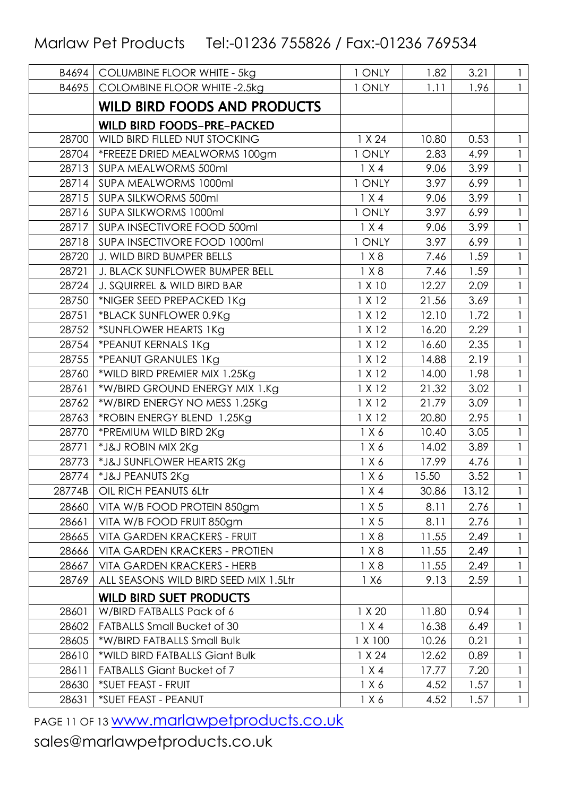| B4694  | <b>COLUMBINE FLOOR WHITE - 5kg</b>    | 1 ONLY  | 1.82              | 3.21  | $\mathbf{1}$ |
|--------|---------------------------------------|---------|-------------------|-------|--------------|
| B4695  | <b>COLOMBINE FLOOR WHITE -2.5kg</b>   | 1 ONLY  | 1.11              | 1.96  |              |
|        | <b>WILD BIRD FOODS AND PRODUCTS</b>   |         |                   |       |              |
|        | <b>WILD BIRD FOODS-PRE-PACKED</b>     |         |                   |       |              |
| 28700  | WILD BIRD FILLED NUT STOCKING         | 1 X 24  | 10.80             | 0.53  | 1            |
| 28704  | *FREEZE DRIED MEALWORMS 100gm         | 1 ONLY  | 2.83              | 4.99  |              |
| 28713  | SUPA MEALWORMS 500ml                  | 1 X 4   | 9.06              | 3.99  | $\mathbf{1}$ |
| 28714  | SUPA MEALWORMS 1000ml                 | 1 ONLY  | 3.97              | 6.99  |              |
| 28715  | SUPA SILKWORMS 500ml                  | 1 X 4   | 9.06              | 3.99  | $\mathbf{1}$ |
| 28716  | SUPA SILKWORMS 1000ml                 | 1 ONLY  | 3.97              | 6.99  |              |
| 28717  | SUPA INSECTIVORE FOOD 500ml           | 1 X 4   | 9.06              | 3.99  |              |
| 28718  | SUPA INSECTIVORE FOOD 1000ml          | 1 ONLY  | $\overline{3.97}$ | 6.99  | $\mathbf{1}$ |
| 28720  | J. WILD BIRD BUMPER BELLS             | 1 X 8   | 7.46              | 1.59  |              |
| 28721  | J. BLACK SUNFLOWER BUMPER BELL        | 1 X 8   | 7.46              | 1.59  |              |
| 28724  | J. SQUIRREL & WILD BIRD BAR           | 1 X 10  | 12.27             | 2.09  | 1            |
| 28750  | *NIGER SEED PREPACKED 1Kg             | 1 X 12  | 21.56             | 3.69  |              |
| 28751  | *BLACK SUNFLOWER 0.9Kg                | 1 X 12  | 12.10             | 1.72  | $\mathbf{1}$ |
| 28752  | *SUNFLOWER HEARTS 1Kg                 | 1 X 12  | 16.20             | 2.29  |              |
| 28754  | *PEANUT KERNALS 1Kg                   | 1 X 12  | 16.60             | 2.35  | $\mathbf{1}$ |
| 28755  | *PEANUT GRANULES 1Kg                  | 1 X 12  | 14.88             | 2.19  |              |
| 28760  | *WILD BIRD PREMIER MIX 1.25Kg         | 1 X 12  | 14.00             | 1.98  | $\mathbf{I}$ |
| 28761  | *W/BIRD GROUND ENERGY MIX 1.Kg        | 1 X 12  | 21.32             | 3.02  |              |
| 28762  | *W/BIRD ENERGY NO MESS 1.25Kg         | 1 X 12  | 21.79             | 3.09  |              |
| 28763  | *ROBIN ENERGY BLEND 1.25Kg            | 1 X 12  | 20.80             | 2.95  | $\mathbf{1}$ |
| 28770  | *PREMIUM WILD BIRD 2Kg                | 1 X 6   | 10.40             | 3.05  |              |
| 28771  | *J&J ROBIN MIX 2Kg                    | 1 X 6   | 14.02             | 3.89  |              |
| 28773  | *J&J SUNFLOWER HEARTS 2Kg             | 1 X 6   | 17.99             | 4.76  | $\mathbf{1}$ |
| 28774  | *J&J PEANUTS 2Kg                      | 1 X 6   | 15.50             | 3.52  |              |
| 28774B | OIL RICH PEANUTS 6Ltr                 | 1 X 4   | 30.86             | 13.12 |              |
| 28660  | VITA W/B FOOD PROTEIN 850gm           | 1 X 5   | 8.11              | 2.76  |              |
| 28661  | VITA W/B FOOD FRUIT 850gm             | 1 X 5   | 8.11              | 2.76  |              |
| 28665  | <b>VITA GARDEN KRACKERS - FRUIT</b>   | 1 X 8   | 11.55             | 2.49  | $\mathbf{1}$ |
| 28666  | <b>VITA GARDEN KRACKERS - PROTIEN</b> | 1 X 8   | 11.55             | 2.49  |              |
| 28667  | <b>VITA GARDEN KRACKERS - HERB</b>    | 1 X 8   | 11.55             | 2.49  |              |
| 28769  | ALL SEASONS WILD BIRD SEED MIX 1.5Ltr | 1 X 6   | 9.13              | 2.59  |              |
|        | <b>WILD BIRD SUET PRODUCTS</b>        |         |                   |       |              |
| 28601  | W/BIRD FATBALLS Pack of 6             | 1 X 20  | 11.80             | 0.94  | 1            |
| 28602  | <b>FATBALLS Small Bucket of 30</b>    | 1 X 4   | 16.38             | 6.49  | 1            |
| 28605  | *W/BIRD FATBALLS Small Bulk           | 1 X 100 | 10.26             | 0.21  |              |
| 28610  | *WILD BIRD FATBALLS Giant Bulk        | 1 X 24  | 12.62             | 0.89  |              |
| 28611  | <b>FATBALLS Giant Bucket of 7</b>     | 1 X 4   | 17.77             | 7.20  |              |
| 28630  | *SUET FEAST - FRUIT                   | 1 X 6   | 4.52              | 1.57  | 1            |
| 28631  | *SUET FEAST - PEANUT                  | 1 X 6   | 4.52              | 1.57  | $\mathbf{1}$ |

PAGE 11 OF 13 **WWW.marlawpetproducts.co.uk**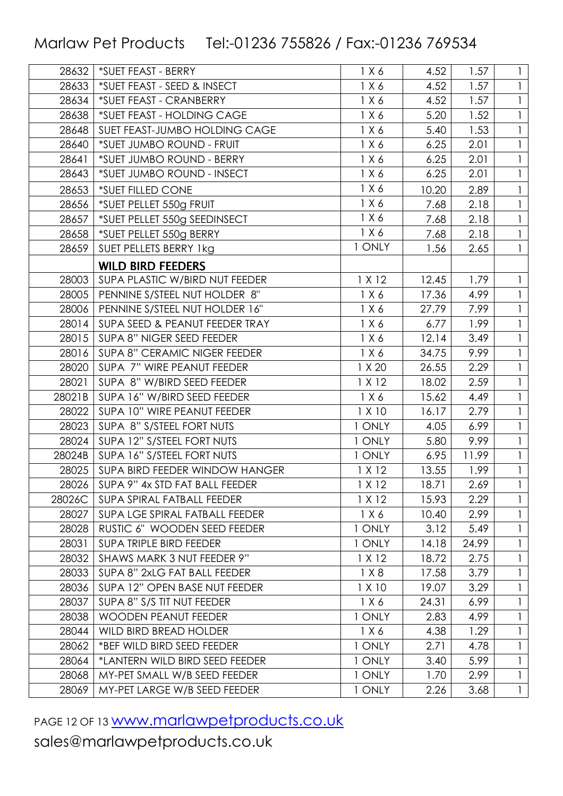| 28632  | *SUET FEAST - BERRY                 | 1 X 6  | 4.52  | 1.57  | $\mathbf{1}$ |
|--------|-------------------------------------|--------|-------|-------|--------------|
| 28633  | *SUET FEAST - SEED & INSECT         | 1 X 6  | 4.52  | 1.57  |              |
| 28634  | *SUET FEAST - CRANBERRY             | 1 X 6  | 4.52  | 1.57  |              |
| 28638  | *SUET FEAST - HOLDING CAGE          | 1 X 6  | 5.20  | 1.52  |              |
| 28648  | SUET FEAST-JUMBO HOLDING CAGE       | 1 X 6  | 5.40  | 1.53  |              |
| 28640  | *SUET JUMBO ROUND - FRUIT           | 1 X 6  | 6.25  | 2.01  |              |
| 28641  | *SUET JUMBO ROUND - BERRY           | 1 X 6  | 6.25  | 2.01  |              |
| 28643  | *SUET JUMBO ROUND - INSECT          | 1 X 6  | 6.25  | 2.01  |              |
| 28653  | *SUET FILLED CONE                   | 1 X 6  | 10.20 | 2.89  |              |
| 28656  | *SUET PELLET 550g FRUIT             | 1 X 6  | 7.68  | 2.18  |              |
| 28657  | *SUET PELLET 550g SEEDINSECT        | 1 X 6  | 7.68  | 2.18  |              |
| 28658  | *SUET PELLET 550g BERRY             | 1 X 6  | 7.68  | 2.18  |              |
| 28659  | SUET PELLETS BERRY 1kg              | 1 ONLY | 1.56  | 2.65  |              |
|        | <b>WILD BIRD FEEDERS</b>            |        |       |       |              |
| 28003  | SUPA PLASTIC W/BIRD NUT FEEDER      | 1 X 12 | 12.45 | 1.79  |              |
| 28005  | PENNINE S/STEEL NUT HOLDER 8"       | 1 X 6  | 17.36 | 4.99  |              |
| 28006  | PENNINE S/STEEL NUT HOLDER 16"      | 1 X 6  | 27.79 | 7.99  |              |
| 28014  | SUPA SEED & PEANUT FEEDER TRAY      | 1 X 6  | 6.77  | 1.99  |              |
| 28015  | SUPA 8" NIGER SEED FEEDER           | 1 X 6  | 12.14 | 3.49  |              |
| 28016  | <b>SUPA 8" CERAMIC NIGER FEEDER</b> | 1 X 6  | 34.75 | 9.99  |              |
| 28020  | SUPA 7" WIRE PEANUT FEEDER          | 1 X 20 | 26.55 | 2.29  |              |
| 28021  | SUPA 8" W/BIRD SEED FEEDER          | 1 X 12 | 18.02 | 2.59  |              |
| 28021B | SUPA 16" W/BIRD SEED FEEDER         | 1 X 6  | 15.62 | 4.49  |              |
| 28022  | SUPA 10" WIRE PEANUT FEEDER         | 1 X 10 | 16.17 | 2.79  |              |
| 28023  | SUPA 8" S/STEEL FORT NUTS           | 1 ONLY | 4.05  | 6.99  |              |
| 28024  | SUPA 12" S/STEEL FORT NUTS          | 1 ONLY | 5.80  | 9.99  |              |
| 28024B | SUPA 16" S/STEEL FORT NUTS          | 1 ONLY | 6.95  | 11.99 |              |
| 28025  | SUPA BIRD FEEDER WINDOW HANGER      | 1 X 12 | 13.55 | 1.99  |              |
| 28026  | SUPA 9" 4x STD FAT BALL FEEDER      | 1 X 12 | 18.71 | 2.69  | $\mathbf{1}$ |
| 28026C | SUPA SPIRAL FATBALL FEEDER          | 1 X 12 | 15.93 | 2.29  |              |
| 28027  | SUPA LGE SPIRAL FATBALL FEEDER      | 1 X 6  | 10.40 | 2.99  | 1            |
| 28028  | RUSTIC 6" WOODEN SEED FEEDER        | 1 ONLY | 3.12  | 5.49  |              |
| 28031  | <b>SUPA TRIPLE BIRD FEEDER</b>      | 1 ONLY | 14.18 | 24.99 |              |
| 28032  | SHAWS MARK 3 NUT FEEDER 9"          | 1 X 12 | 18.72 | 2.75  | $\mathbf{1}$ |
| 28033  | SUPA 8" 2xLG FAT BALL FEEDER        | 1 X 8  | 17.58 | 3.79  |              |
| 28036  | SUPA 12" OPEN BASE NUT FEEDER       | 1 X 10 | 19.07 | 3.29  |              |
| 28037  | SUPA 8" S/S TIT NUT FEEDER          | 1 X 6  | 24.31 | 6.99  |              |
| 28038  | <b>WOODEN PEANUT FEEDER</b>         | 1 ONLY | 2.83  | 4.99  |              |
| 28044  | WILD BIRD BREAD HOLDER              | 1 X 6  | 4.38  | 1.29  |              |
| 28062  | *BEF WILD BIRD SEED FEEDER          | 1 ONLY | 2.71  | 4.78  |              |
| 28064  | *LANTERN WILD BIRD SEED FEEDER      | 1 ONLY | 3.40  | 5.99  | $\mathbf{1}$ |
| 28068  | MY-PET SMALL W/B SEED FEEDER        | 1 ONLY | 1.70  | 2.99  |              |
| 28069  | MY-PET LARGE W/B SEED FEEDER        | 1 ONLY | 2.26  | 3.68  | $\mathbf{1}$ |

PAGE 12 OF 13 **WWW.marlawpetproducts.co.uk**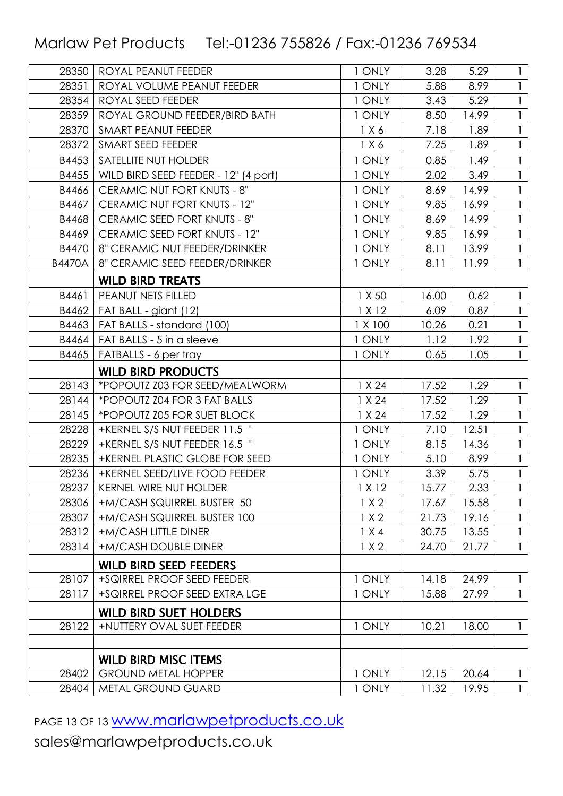| 28350         | ROYAL PEANUT FEEDER                  | 1 ONLY  | 3.28  | 5.29  | 1            |
|---------------|--------------------------------------|---------|-------|-------|--------------|
| 28351         | ROYAL VOLUME PEANUT FEEDER           | 1 ONLY  | 5.88  | 8.99  | $\mathbf{1}$ |
| 28354         | ROYAL SEED FEEDER                    | 1 ONLY  | 3.43  | 5.29  | $\mathbf{1}$ |
| 28359         | ROYAL GROUND FEEDER/BIRD BATH        | 1 ONLY  | 8.50  | 14.99 | $\mathbf{1}$ |
| 28370         | <b>SMART PEANUT FEEDER</b>           | 1 X 6   | 7.18  | 1.89  | 1            |
| 28372         | SMART SEED FEEDER                    | 1 X 6   | 7.25  | 1.89  | $\mathbf{1}$ |
| B4453         | SATELLITE NUT HOLDER                 | 1 ONLY  | 0.85  | 1.49  | $\mathbf{1}$ |
| B4455         | WILD BIRD SEED FEEDER - 12" (4 port) | 1 ONLY  | 2.02  | 3.49  |              |
| B4466         | CERAMIC NUT FORT KNUTS - 8"          | 1 ONLY  | 8.69  | 14.99 | $\mathbf{1}$ |
| B4467         | CERAMIC NUT FORT KNUTS - 12"         | 1 ONLY  | 9.85  | 16.99 | 1            |
| B4468         | CERAMIC SEED FORT KNUTS - 8"         | 1 ONLY  | 8.69  | 14.99 | $\mathbf{1}$ |
| B4469         | CERAMIC SEED FORT KNUTS - 12"        | 1 ONLY  | 9.85  | 16.99 | 1            |
| B4470         | 8" CERAMIC NUT FEEDER/DRINKER        | 1 ONLY  | 8.11  | 13.99 |              |
| <b>B4470A</b> | 8" CERAMIC SEED FEEDER/DRINKER       | 1 ONLY  | 8.11  | 11.99 | $\mathbf{1}$ |
|               | <b>WILD BIRD TREATS</b>              |         |       |       |              |
| B4461         | PEANUT NETS FILLED                   | 1 X 50  | 16.00 | 0.62  | 1            |
| B4462         | FAT BALL - giant (12)                | 1 X 12  | 6.09  | 0.87  |              |
| B4463         | FAT BALLS - standard (100)           | 1 X 100 | 10.26 | 0.21  | $\mathbf{1}$ |
| B4464         | FAT BALLS - 5 in a sleeve            | 1 ONLY  | 1.12  | 1.92  | 1            |
| B4465         | FATBALLS - 6 per tray                | 1 ONLY  | 0.65  | 1.05  | $\mathbf{1}$ |
|               | <b>WILD BIRD PRODUCTS</b>            |         |       |       |              |
| 28143         | *POPOUTZ Z03 FOR SEED/MEALWORM       | 1 X 24  | 17.52 | 1.29  | 1            |
| 28144         | *POPOUTZ Z04 FOR 3 FAT BALLS         | 1 X 24  | 17.52 | 1.29  | $\mathbf{1}$ |
| 28145         | *POPOUTZ Z05 FOR SUET BLOCK          | 1 X 24  | 17.52 | 1.29  | $\mathbf{1}$ |
| 28228         | +KERNEL S/S NUT FEEDER 11.5 "        | 1 ONLY  | 7.10  | 12.51 | $\mathbf{1}$ |
| 28229         | +KERNEL S/S NUT FEEDER 16.5 "        | 1 ONLY  | 8.15  | 14.36 | $\mathbf{1}$ |
| 28235         | +KERNEL PLASTIC GLOBE FOR SEED       | 1 ONLY  | 5.10  | 8.99  | 1            |
| 28236         | +KERNEL SEED/LIVE FOOD FEEDER        | 1 ONLY  | 3.39  | 5.75  | $\mathbf{1}$ |
| 28237         | <b>KERNEL WIRE NUT HOLDER</b>        | 1 X 12  | 15.77 | 2.33  |              |
| 28306         | +M/CASH SQUIRREL BUSTER 50           | 1 X 2   | 17.67 | 15.58 | 1            |
| 28307         | +M/CASH SQUIRREL BUSTER 100          | 1 X 2   | 21.73 | 19.16 | $\mathbf{1}$ |
| 28312         | +M/CASH LITTLE DINER                 | 1 X 4   | 30.75 | 13.55 | 1            |
| 28314         | +M/CASH DOUBLE DINER                 | 1 X 2   | 24.70 | 21.77 | $\mathbf{1}$ |
|               | <b>WILD BIRD SEED FEEDERS</b>        |         |       |       |              |
| 28107         | +SQIRREL PROOF SEED FEEDER           | 1 ONLY  | 14.18 | 24.99 | $\mathbf{1}$ |
| 28117         | +SQIRREL PROOF SEED EXTRA LGE        | 1 ONLY  | 15.88 | 27.99 | $\mathbf{1}$ |
|               | <b>WILD BIRD SUET HOLDERS</b>        |         |       |       |              |
| 28122         | +NUTTERY OVAL SUET FEEDER            | 1 ONLY  | 10.21 | 18.00 | $\mathbf{1}$ |
|               |                                      |         |       |       |              |
|               | <b>WILD BIRD MISC ITEMS</b>          |         |       |       |              |
| 28402         | <b>GROUND METAL HOPPER</b>           | 1 ONLY  | 12.15 | 20.64 | 1            |
| 28404         | METAL GROUND GUARD                   | 1 ONLY  | 11.32 | 19.95 | $\mathbf{1}$ |
|               |                                      |         |       |       |              |

PAGE 13 OF 13 **WWW.marlawpetproducts.co.uk**